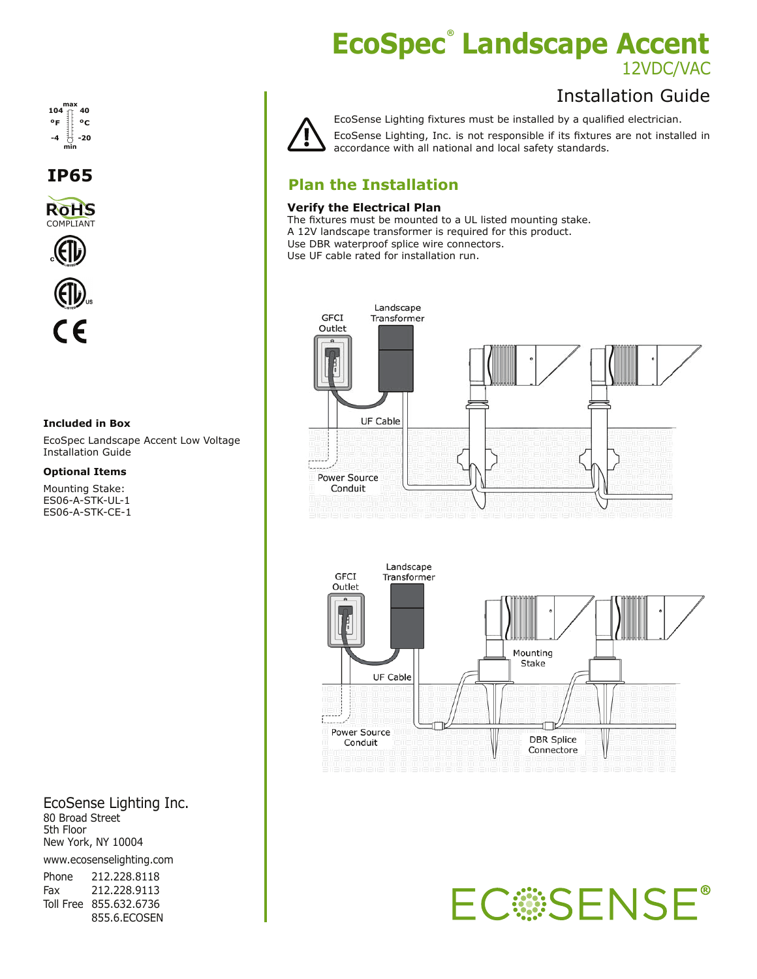# **EcoSpec Landscape Accent ®** 12VDC/VAC

## Installation Guide



EcoSense Lighting fixtures must be installed by a qualified electrician.

EcoSense Lighting, Inc. is not responsible if its fixtures are not installed in accordance with all national and local safety standards.

### **Plan the Installation**

### **Verify the Electrical Plan**

The fixtures must be mounted to a UL listed mounting stake. A 12V landscape transformer is required for this product. Use DBR waterproof splice wire connectors. Use UF cable rated for installation run.





**EC SENSE®** 



**IP65**





#### **Included in Box**

EcoSpec Landscape Accent Low Voltage Installation Guide

**Optional Items**

Mounting Stake: ES06-A-STK-UL-1 ES06-A-STK-CE-1

EcoSense Lighting Inc. 80 Broad Street 5th Floor New York, NY 10004

www.ecosenselighting.com

| Phone | 212.228.8118           |
|-------|------------------------|
| Fax   | 212.228.9113           |
|       | Toll Free 855.632.6736 |
|       | 855.6.ECOSEN           |